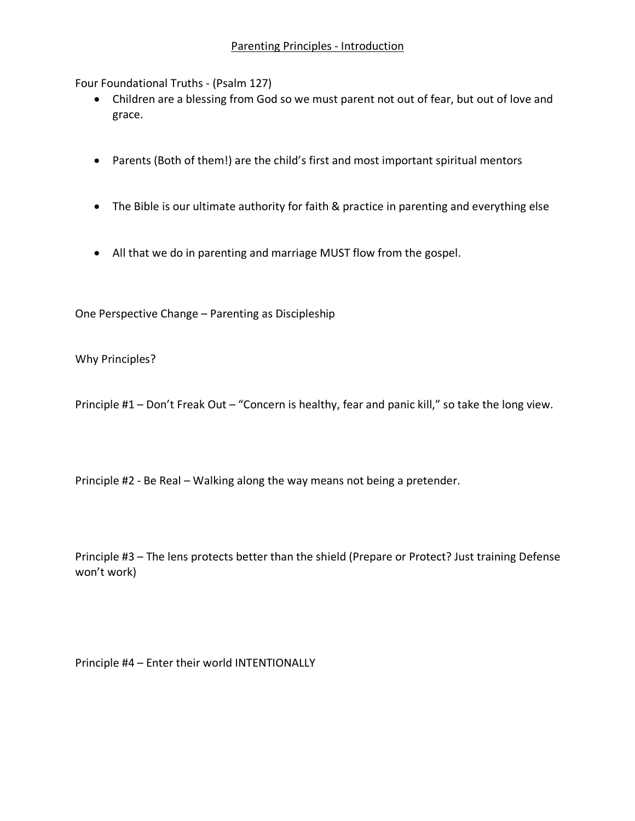Four Foundational Truths - (Psalm 127)

- Children are a blessing from God so we must parent not out of fear, but out of love and grace.
- Parents (Both of them!) are the child's first and most important spiritual mentors
- The Bible is our ultimate authority for faith & practice in parenting and everything else
- All that we do in parenting and marriage MUST flow from the gospel.

One Perspective Change – Parenting as Discipleship

Why Principles?

Principle #1 – Don't Freak Out – "Concern is healthy, fear and panic kill," so take the long view.

Principle #2 - Be Real – Walking along the way means not being a pretender.

Principle #3 – The lens protects better than the shield (Prepare or Protect? Just training Defense won't work)

Principle #4 – Enter their world INTENTIONALLY